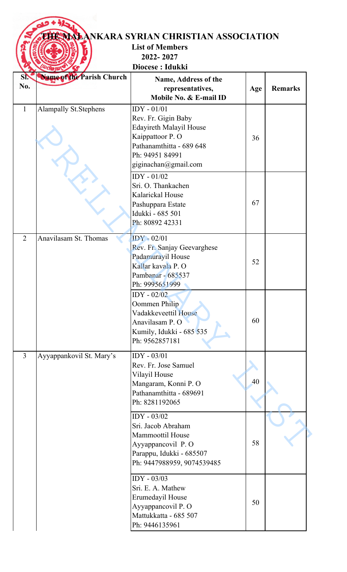|                          | <b>List of Members</b>                                                                                                                      |                                                                                    |                                                          |
|--------------------------|---------------------------------------------------------------------------------------------------------------------------------------------|------------------------------------------------------------------------------------|----------------------------------------------------------|
|                          |                                                                                                                                             |                                                                                    |                                                          |
|                          |                                                                                                                                             |                                                                                    |                                                          |
|                          | Name, Address of the                                                                                                                        |                                                                                    |                                                          |
|                          | Mobile No. & E-mail ID                                                                                                                      |                                                                                    | <b>Remarks</b>                                           |
|                          | Rev. Fr. Gigin Baby<br>Edayireth Malayil House<br>Kaippattoor P.O<br>Pathanamthitta - 689 648<br>Ph: 94951 84991<br>giginachan@gmail.com    | 36                                                                                 |                                                          |
|                          | $IDY - 01/02$<br>Sri. O. Thankachen<br>Kalarickal House<br>Pashuppara Estate<br>Idukki - 685 501<br>Ph: 80892 42331                         | 67                                                                                 |                                                          |
| Anavilasam St. Thomas    | $IDY - 02/01$<br>Rev. Fr. Sanjay Geevarghese<br>Padamurayil House<br>Kallar kayala P. O<br>Pambanar - 685537<br>Ph: 9995651999              | 52                                                                                 |                                                          |
|                          | $IDY - 02/02$<br>Oommen Philip<br>Vadakkeveettil House<br>Anavilasam P. O<br>Kumily, Idukki - 685 535<br>Ph: 9562857181                     | 60                                                                                 |                                                          |
| Ayyappankovil St. Mary's | IDY - 03/01<br>Rev. Fr. Jose Samuel                                                                                                         |                                                                                    |                                                          |
|                          | Mangaram, Konni P. O<br>Pathanamthitta - 689691                                                                                             | 40                                                                                 |                                                          |
|                          | Ph: 8281192065                                                                                                                              |                                                                                    |                                                          |
|                          | IDY - 03/02<br>Sri. Jacob Abraham<br><b>Mammoottil House</b><br>Ayyappancovil P.O<br>Parappu, Idukki - 685507<br>Ph: 9447988959, 9074539485 | 58                                                                                 |                                                          |
|                          | $\overline{IDY}$ - 03/03<br>Sri. E. A. Mathew<br>Erumedayil House<br>Ayyappancovil P. O<br>Mattukkatta - 685 507<br>Ph: 9446135961          | 50                                                                                 |                                                          |
|                          | Name of the Parish Church<br>Alampally St. Stephens                                                                                         | 2022-2027<br>Diocese: Idukki<br>representatives,<br>$IDY - 01/01$<br>Vilayil House | <b>THE NALANKARA SYRIAN CHRISTIAN ASSOCIATION</b><br>Age |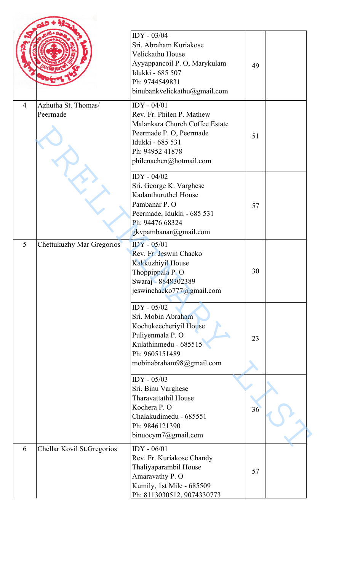|                |                                  | IDY - 03/04<br>Sri. Abraham Kuriakose<br>Velickathu House<br>Ayyappancoil P. O, Marykulam<br>Idukki - 685 507<br>Ph: 9744549831<br>binubankvelickathu@gmail.com          | 49 |  |
|----------------|----------------------------------|--------------------------------------------------------------------------------------------------------------------------------------------------------------------------|----|--|
| $\overline{4}$ | Azhutha St. Thomas/<br>Peermade  | $IDY - 04/01$<br>Rev. Fr. Philen P. Mathew<br>Malankara Church Coffee Estate<br>Peermade P.O, Peermade<br>Idukki - 685 531<br>Ph: 94952 41878<br>philenachen@hotmail.com | 51 |  |
|                |                                  | $IDY - 04/02$<br>Sri. George K. Varghese<br>Kadanthuruthel House<br>Pambanar P. O<br>Peermade, Idukki - 685 531<br>Ph: 94476 68324<br>gkvpambanar@gmail.com              | 57 |  |
| 5              | <b>Chettukuzhy Mar Gregorios</b> | $IDY - 05/01$<br>Rev. Fr. Jeswin Chacko<br>Kakkuzhiyil House<br>Thoppippala P.O<br>Swaraj - 8848302389<br>jeswinchacko777@gmail.com                                      | 30 |  |
|                |                                  | IDY - 05/02<br>Sri. Mobin Abraham<br>Kochukeecheriyil House<br>Puliyenmala P. O<br>Kulathinmedu - 685515<br>Ph: 9605151489<br>mobinabraham98@gmail.com                   | 23 |  |
|                |                                  | IDY - 05/03<br>Sri. Binu Varghese<br>Tharavattathil House<br>Kochera P. O<br>Chalakudimedu - 685551<br>Ph: 9846121390<br>binuocym7@gmail.com                             | 36 |  |
| 6              | Chellar Kovil St. Gregorios      | $IDY - 06/01$<br>Rev. Fr. Kuriakose Chandy<br>Thaliyaparambil House<br>Amaravathy P. O<br>Kumily, 1st Mile - 685509<br>Ph: 8113030512, 9074330773                        | 57 |  |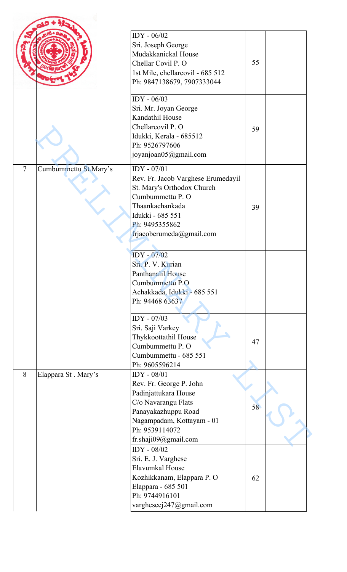|                |                       | IDY - 06/02<br>Sri. Joseph George<br>Mudakkanickal House<br>Chellar Covil P. O<br>1st Mile, chellarcovil - 685 512<br>Ph: 9847138679, 7907333044                                         | 55 |  |
|----------------|-----------------------|------------------------------------------------------------------------------------------------------------------------------------------------------------------------------------------|----|--|
|                |                       | $IDY - 06/03$<br>Sri. Mr. Joyan George<br>Kandathil House<br>Chellarcovil P. O<br>Idukki, Kerala - 685512<br>Ph: 9526797606<br>joyanjoan05@gmail.com                                     | 59 |  |
| $\overline{7}$ | Cumbummettu St.Mary's | IDY - 07/01<br>Rev. Fr. Jacob Varghese Erumedayil<br>St. Mary's Orthodox Church<br>Cumbummettu P. O<br>Thaankachankada<br>Idukki - 685 551<br>Ph: 9495355862<br>frjacoberumeda@gmail.com | 39 |  |
|                |                       | IDY - 07/02<br>Sri. P. V. Kurian<br>Panthanalil House<br>Cumbummettu P.O<br>Achakkada, Idukki - 685 551<br>Ph: 94468 63637                                                               |    |  |
|                |                       | IDY - 07/03<br>Sri. Saji Varkey<br>Thykkoottathil House<br>Cumbummettu P. O<br>Cumbummettu - 685 551<br>Ph: 9605596214                                                                   | 47 |  |
| 8              | Elappara St. Mary's   | IDY - 08/01<br>Rev. Fr. George P. John<br>Padinjattukara House<br>C/o Navarangu Flats<br>Panayakazhuppu Road<br>Nagampadam, Kottayam - 01<br>Ph: 9539114072<br>fr.shaji09@gmail.com      | 58 |  |
|                |                       | IDY - 08/02<br>Sri. E. J. Varghese<br>Elavumkal House<br>Kozhikkanam, Elappara P. O<br>Elappara - 685 501<br>Ph: 9744916101<br>vargheseej247@gmail.com                                   | 62 |  |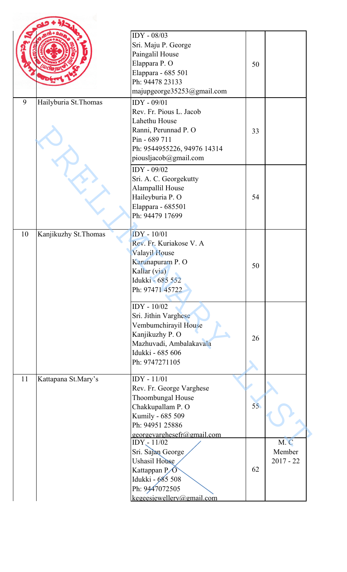|    |                       | IDY - 08/03<br>Sri. Maju P. George<br>Paingalil House<br>Elappara P. O<br>Elappara - 685 501<br>Ph: 94478 23133<br>majupgeorge35253@gmail.com            | 50 |                              |
|----|-----------------------|----------------------------------------------------------------------------------------------------------------------------------------------------------|----|------------------------------|
| 9  | Hailyburia St. Thomas | IDY - 09/01<br>Rev. Fr. Pious L. Jacob<br>Lahethu House<br>Ranni, Perunnad P. O<br>Pin - 689 711<br>Ph: 9544955226, 94976 14314<br>piousljacob@gmail.com | 33 |                              |
|    |                       | IDY - 09/02<br>Sri. A. C. Georgekutty<br>Alampallil House<br>Haileyburia P. O<br>Elappara - 685501<br>Ph: 94479 17699                                    | 54 |                              |
| 10 | Kanjikuzhy St. Thomas | IDY - 10/01<br>Rev. Fr. Kuriakose V. A<br>Valayil House<br>Karunapuram P.O<br>Kallar (via)<br>Idukki - 685 552<br>Ph: 97471 45722                        | 50 |                              |
|    |                       | IDY - $10/02$<br>Sri. Jithin Varghese<br>Vembumchirayil House<br>Kanjikuzhy P. O<br>Mazhuvadi, Ambalakavala<br>Idukki - 685 606<br>Ph: 9747271105        | 26 |                              |
| 11 | Kattapana St.Mary's   | IDY - 11/01<br>Rev. Fr. George Varghese<br>Thoombungal House<br>Chakkupallam P. O<br>Kumily - 685 509<br>Ph: 94951 25886<br>georgevarghesefr@gmail.com   | 55 |                              |
|    |                       | IDY - 11/02<br>Sri. Sajan George<br>Ushasil House<br>Kattappan P<br>Idukki - 685 508<br>Ph: 9447072505<br>kegeesiewellerv@gmail.com                      | 62 | M.C<br>Member<br>$2017 - 22$ |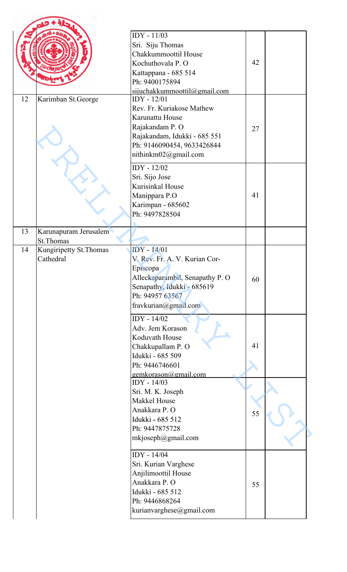|    |                                      | IDY - 11/03<br>Sri. Siju Thomas<br>Chakkummoottil House<br>Kochuthovala P. O<br>Kattappana - 685 514<br>Ph: 9400175894                                                      | 42 |  |
|----|--------------------------------------|-----------------------------------------------------------------------------------------------------------------------------------------------------------------------------|----|--|
|    |                                      | sijuchakkummoottil@gmail.com                                                                                                                                                |    |  |
| 12 | Karimban St.George                   | IDY - 12/01<br>Rev. Fr. Kuriakose Mathew<br>Karunattu House<br>Rajakandam P. O<br>Rajakandam, Idukki - 685 551<br>Ph: 9146090454, 9633426844<br>nithinkm02@gmail.com        | 27 |  |
|    |                                      | IDY - 12/02<br>Sri. Sijo Jose<br>Kurisinkal House<br>Manippara P.O<br>Karimpan - 685602<br>Ph: 9497828504                                                                   | 41 |  |
| 13 | Karunapuram Jerusalem<br>St.Thomas   |                                                                                                                                                                             |    |  |
| 14 | Kungiripetty St. Thomas<br>Cathedral | <b>IDY</b> - 14/01<br>V. Rev. Fr. A. V. Kurian Cor-<br>Episcopa<br>Alleckaparambil, Senapathy P. O<br>Senapathy, Idukki - 685619<br>Ph: 94957 63567<br>fravkurian@gmail.com | 60 |  |
|    |                                      | IDY - 14/02<br>Adv. Jem Korason<br>Koduvath House<br>Chakkupallam P. O<br>Idukki - 685 509<br>Ph: 9446746601<br>gemkorason@gmail.com<br>IDY - 14/03                         | 41 |  |
|    |                                      | Sri. M. K. Joseph<br>Makkel House<br>Anakkara P. O<br>Idukki - 685 512<br>Ph: 9447875728<br>mkjoseph@gmail.com                                                              | 55 |  |
|    |                                      | IDY - 14/04<br>Sri. Kurian Varghese<br>Anjilimoottil House<br>Anakkara P. O<br>Idukki - 685 512<br>Ph: 9446868264<br>kurianvarghese@gmail.com                               | 55 |  |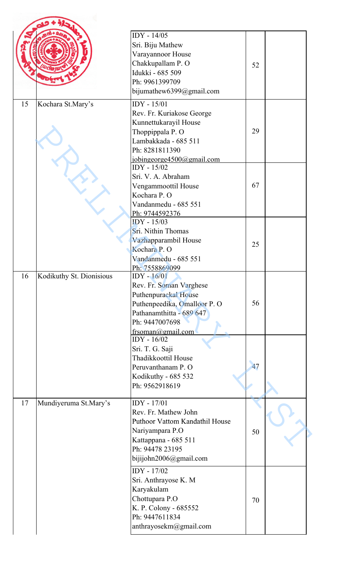|    |                          | IDY - 14/05<br>Sri. Biju Mathew                 |    |  |
|----|--------------------------|-------------------------------------------------|----|--|
|    |                          | Varayannoor House                               |    |  |
|    |                          | Chakkupallam P. O<br>Idukki - 685 509           | 52 |  |
|    |                          | Ph: 9961399709                                  |    |  |
|    |                          | bijumathew6399@gmail.com                        |    |  |
| 15 |                          | IDY - 15/01                                     |    |  |
|    | Kochara St.Mary's        | Rev. Fr. Kuriakose George                       |    |  |
|    |                          | Kunnettukarayil House                           |    |  |
|    |                          | Thoppippala P.O                                 | 29 |  |
|    |                          | Lambakkada - 685 511                            |    |  |
|    |                          | Ph: 8281811390                                  |    |  |
|    |                          | jobingeorge4500@gmail.com<br>IDY - 15/02        |    |  |
|    |                          | Sri. V. A. Abraham                              |    |  |
|    |                          | Vengammoottil House                             | 67 |  |
|    |                          | Kochara P. O                                    |    |  |
|    |                          | Vandanmedu - 685 551                            |    |  |
|    |                          | Ph: 9744592376<br>IDY - 15/03                   |    |  |
|    |                          | Sri. Nithin Thomas                              |    |  |
|    |                          | Vazhapparambil House                            |    |  |
|    |                          | Kochara P.O                                     | 25 |  |
|    |                          | Vandanmedu - 685 551                            |    |  |
|    |                          | Ph: 7558869099                                  |    |  |
| 16 | Kodikuthy St. Dionisious | $IDY - 16/01$                                   |    |  |
|    |                          | Rev. Fr. Soman Varghese<br>Puthenpurackal House |    |  |
|    |                          | Puthenpeedika, Omalloor P. O                    | 56 |  |
|    |                          | Pathanamthitta - 689 647                        |    |  |
|    |                          | Ph: 9447007698                                  |    |  |
|    |                          | frsoman@gmail.com<br>$IDY - 16/02$              |    |  |
|    |                          | Sri. T. G. Saji                                 |    |  |
|    |                          | Thadikkoottil House                             |    |  |
|    |                          | Peruvanthanam P. O                              | 47 |  |
|    |                          | Kodikuthy - 685 532                             |    |  |
|    |                          | Ph: 9562918619                                  |    |  |
| 17 | Mundiyeruma St.Mary's    | IDY - 17/01                                     |    |  |
|    |                          | Rev. Fr. Mathew John                            |    |  |
|    |                          | Puthoor Vattom Kandathil House                  |    |  |
|    |                          | Nariyampara P.O                                 | 50 |  |
|    |                          | Kattappana - 685 511                            |    |  |
|    |                          | Ph: 94478 23195                                 |    |  |
|    |                          | bijijohn2006@gmail.com                          |    |  |
|    |                          | IDY - 17/02                                     |    |  |
|    |                          | Sri. Anthrayose K. M                            |    |  |
|    |                          | Karyakulam                                      |    |  |
|    |                          | Chottupara P.O<br>K. P. Colony - 685552         | 70 |  |
|    |                          | Ph: 9447611834                                  |    |  |
|    |                          | anthrayosekm@gmail.com                          |    |  |
|    |                          |                                                 |    |  |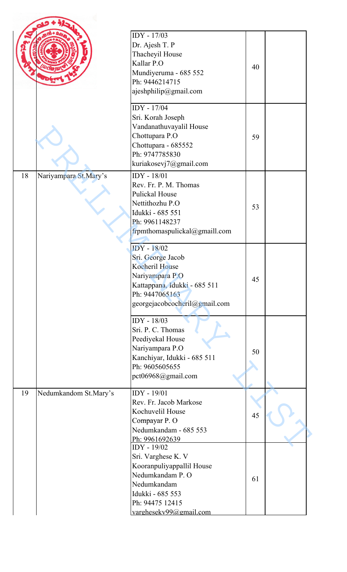|    |                       | IDY - 17/03<br>Dr. Ajesh T. P<br>Thacheyil House<br>Kallar P.O<br>Mundiyeruma - 685 552<br>Ph: 9446214715<br>ajeshphilip@gmail.com                                                   | 40 |  |
|----|-----------------------|--------------------------------------------------------------------------------------------------------------------------------------------------------------------------------------|----|--|
|    |                       | IDY - 17/04<br>Sri. Korah Joseph<br>Vandanathuvayalil House<br>Chottupara P.O<br>Chottupara - 685552<br>Ph: 9747785830<br>kuriakosevj7@gmail.com                                     | 59 |  |
| 18 | Nariyampara St.Mary's | IDY - 18/01<br>Rev. Fr. P. M. Thomas<br><b>Pulickal House</b><br>Nettithozhu P.O<br>Idukki - 685 551<br>Ph: 9961148237<br>frpmthomaspulickal@gmaill.com                              | 53 |  |
|    |                       | <b>IDY</b> - 18/02<br>Sri. George Jacob<br>Kocheril House<br>Nariyampara P.O<br>Kattappana, Idukki - 685 511<br>Ph: 9447065163<br>georgejacobcocheril@gmail.com                      | 45 |  |
|    |                       | IDY - 18/03<br>Sri. P. C. Thomas<br>Peediyekal House<br>Nariyampara P.O<br>Kanchiyar, Idukki - 685 511<br>Ph: 9605605655<br>pct06968@gmail.com                                       | 50 |  |
| 19 | Nedumkandom St.Mary's | IDY - 19/01<br>Rev. Fr. Jacob Markose<br>Kochuvelil House<br>Compayar P. O<br>Nedumkandam - 685 553                                                                                  | 45 |  |
|    |                       | Ph: 9961692639<br>IDY - 19/02<br>Sri. Varghese K. V<br>Kooranpuliyappallil House<br>Nedumkandam P. O<br>Nedumkandam<br>Idukki - 685 553<br>Ph: 94475 12415<br>varghesekv99@gmail.com | 61 |  |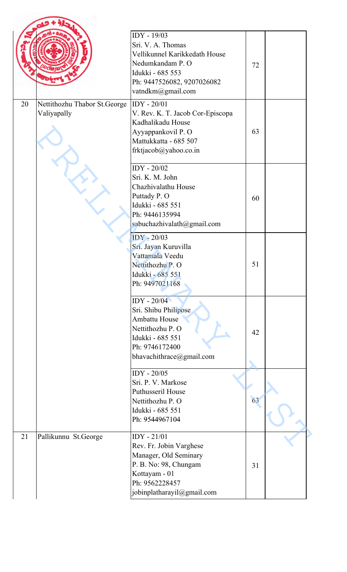|    |                                             | IDY - 19/03<br>Sri. V. A. Thomas<br>Vellikunnel Karikkedath House<br>Nedumkandam P. O<br>Idukki - 685 553<br>Ph: 9447526082, 9207026082<br>vatndkm@gmail.com | 72 |  |
|----|---------------------------------------------|--------------------------------------------------------------------------------------------------------------------------------------------------------------|----|--|
| 20 | Nettithozhu Thabor St.George<br>Valiyapally | $IDY - 20/01$<br>V. Rev. K. T. Jacob Cor-Episcopa<br>Kadhalikadu House<br>Ayyappankovil P. O<br>Mattukkatta - 685 507<br>frktjacob@yahoo.co.in               | 63 |  |
|    |                                             | IDY - 20/02<br>Sri. K. M. John<br>Chazhivalathu House<br>Puttady P. O<br>Idukki - 685 551<br>Ph: 9446135994<br>sabuchazhivalath@gmail.com                    | 60 |  |
|    |                                             | <b>IDY</b> - 20/03<br>Sri. Jayan Kuruvilla<br>Vattamala Veedu<br>Nettithozhu P. O<br>Idukki - 685 551<br>Ph: 9497021168                                      | 51 |  |
|    |                                             | IDY - 20/04<br>Sri. Shibu Philipose<br>Ambattu House<br>Nettithozhu P. O<br>Idukki - 685 551<br>Ph: 9746172400<br>bhavachithrace@gmail.com                   | 42 |  |
|    |                                             | IDY - 20/05<br>Sri. P. V. Markose<br><b>Puthusseril House</b><br>Nettithozhu P. O<br>Idukki - 685 551<br>Ph: 9544967104                                      | 63 |  |
| 21 | Pallikunnu St.George                        | $IDY - 21/01$<br>Rev. Fr. Jobin Varghese<br>Manager, Old Seminary<br>P. B. No: 98, Chungam<br>Kottayam - 01<br>Ph: 9562228457<br>jobinplatharayil@gmail.com  | 31 |  |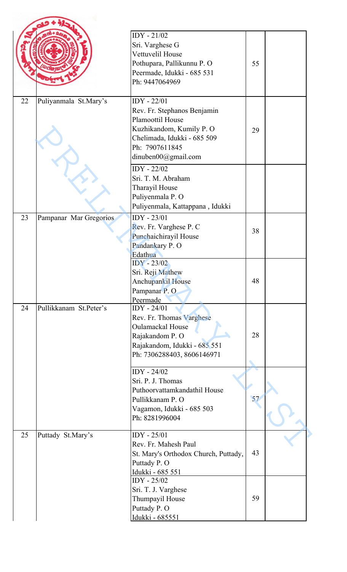|    |                        | $IDY - 21/02$<br>Sri. Varghese G<br>Vettuvelil House<br>Pothupara, Pallikunnu P. O<br>Peermade, Idukki - 685 531<br>Ph: 9447064969                                   | 55 |  |
|----|------------------------|----------------------------------------------------------------------------------------------------------------------------------------------------------------------|----|--|
| 22 | Puliyanmala St.Mary's  | $IDY - 22/01$<br>Rev. Fr. Stephanos Benjamin<br>Plamoottil House<br>Kuzhikandom, Kumily P. O<br>Chelimada, Idukki - 685 509<br>Ph: 7907611845<br>dinuben00@gmail.com | 29 |  |
|    |                        | IDY - 22/02<br>Sri. T. M. Abraham<br>Tharayil House<br>Puliyenmala P. O<br>Puliyenmala, Kattappana, Idukki                                                           |    |  |
| 23 | Pampanar Mar Gregorios | $IDY - 23/01$<br>Rev. Fr. Varghese P. C<br>Punchaichirayil House<br>Pandankary P.O<br>Edathua                                                                        | 38 |  |
|    |                        | <b>IDY</b> - 23/02<br>Sri. Reji Mathew<br>Anchupankil House<br>Pampanar P.O<br>Peermade                                                                              | 48 |  |
| 24 | Pullikkanam St.Peter's | $IDY - 24/01$<br>Rev. Fr. Thomas Varghese<br><b>Oulamackal House</b><br>Rajakandom P. O<br>Rajakandom, Idukki - 685 551<br>Ph: 7306288403, 8606146971                | 28 |  |
|    |                        | $IDY - 24/02$<br>Sri. P. J. Thomas<br>Puthoorvattamkandathil House<br>Pullikkanam P. O<br>Vagamon, Idukki - 685 503<br>Ph: 8281996004                                | 57 |  |
| 25 | Puttady St.Mary's      | $IDY - 25/01$<br>Rev. Fr. Mahesh Paul<br>St. Mary's Orthodox Church, Puttady,<br>Puttady P.O<br>Idukki - 685 551                                                     | 43 |  |
|    |                        | IDY - 25/02<br>Sri. T. J. Varghese<br>Thumpayil House<br>Puttady P.O<br><u>Idukki - 685551</u>                                                                       | 59 |  |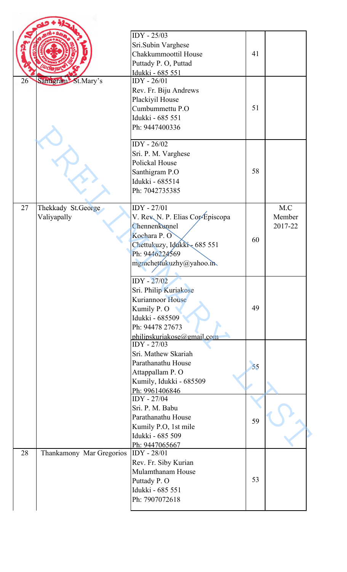|    |                                   | IDY - 25/03<br>Sri.Subin Varghese<br>Chakkummoottil House<br>Puttady P.O, Puttad                                                                             | 41 |                          |
|----|-----------------------------------|--------------------------------------------------------------------------------------------------------------------------------------------------------------|----|--------------------------|
| 26 | Santigram St.Mary's               | Idukki - 685 551<br>$IDY - 26/01$<br>Rev. Fr. Biju Andrews<br>Plackiyil House<br>Cumbummettu P.O<br>Idukki - 685 551<br>Ph: 9447400336                       | 51 |                          |
|    |                                   | IDY - 26/02<br>Sri. P. M. Varghese<br>Polickal House<br>Santhigram P.O<br>Idukki - 685514<br>Ph: 7042735385                                                  | 58 |                          |
| 27 | Thekkady St.George<br>Valiyapally | IDY - 27/01<br>V. Rev. N. P. Elias Cor-Episcopa<br>Chennenkunnel<br>Kochara P.O<br>Chettukuzy, Idákki - 685 551<br>Ph: 9446224569<br>mgmchettukuzhy@yahoo.in | 60 | M.C<br>Member<br>2017-22 |
|    |                                   | <b>IDY</b> - 27/02<br>Sri. Philip Kuriakose<br>Kuriannoor House<br>Kumily P.O<br>Idukki - 685509<br>Ph: 94478 27673<br>philipskuriakose@gmail.com            | 49 |                          |
|    |                                   | IDY - 27/03<br>Sri. Mathew Skariah<br>Parathanathu House<br>Attappallam P. O<br>Kumily, Idukki - 685509<br>Ph: 9961406846                                    | 55 |                          |
|    |                                   | IDY - 27/04<br>Sri. P. M. Babu<br>Parathanathu House<br>Kumily P.O, 1st mile<br>Idukki - 685 509<br>Ph: 9447065667                                           | 59 |                          |
| 28 | Thankamony Mar Gregorios          | IDY - 28/01<br>Rev. Fr. Siby Kurian<br>Mulamthanam House<br>Puttady P.O<br>Idukki - 685 551<br>Ph: 7907072618                                                | 53 |                          |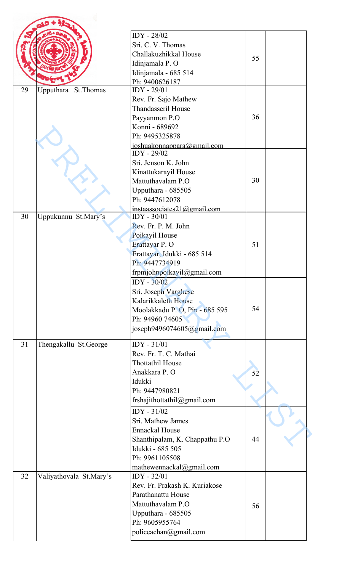|    |                         | IDY - 28/02                    |    |  |
|----|-------------------------|--------------------------------|----|--|
|    |                         | Sri. C. V. Thomas              |    |  |
|    |                         | Challakuzhikkal House          | 55 |  |
|    |                         | Idinjamala P. O                |    |  |
|    |                         | Idinjamala - 685 514           |    |  |
|    |                         | Ph: 9400626187                 |    |  |
| 29 | Upputhara St. Thomas    | IDY - 29/01                    |    |  |
|    |                         | Rev. Fr. Sajo Mathew           |    |  |
|    |                         | Thandasseril House             |    |  |
|    |                         | Payyanmon P.O                  | 36 |  |
|    |                         | Konni - 689692                 |    |  |
|    |                         | Ph: 9495325878                 |    |  |
|    |                         | joshuakonnappara@gmail.com     |    |  |
|    |                         | IDY - 29/02                    |    |  |
|    |                         | Sri. Jenson K. John            |    |  |
|    |                         | Kinattukarayil House           |    |  |
|    |                         | Mattuthavalam P.O              | 30 |  |
|    |                         | Upputhara - 685505             |    |  |
|    |                         | Ph: 9447612078                 |    |  |
|    |                         | instaassociates21@gmail.com    |    |  |
| 30 | Uppukunnu St.Mary's     | IDY - 30/01                    |    |  |
|    |                         | Rev. Fr. P. M. John            |    |  |
|    |                         | Poikayil House                 |    |  |
|    |                         | Erattayar P. O                 | 51 |  |
|    |                         | Erattayar, Idukki - 685 514    |    |  |
|    |                         | Ph: 9447734919                 |    |  |
|    |                         | frpmjohnpoikayil@gmail.com     |    |  |
|    |                         | $IDY - 30/02$                  |    |  |
|    |                         | Sri. Joseph Varghese           |    |  |
|    |                         | Kalarikkaleth House            |    |  |
|    |                         | Moolakkadu P. O, Pin - 685 595 | 54 |  |
|    |                         | Ph: 94960 74605                |    |  |
|    |                         | joseph9496074605@gmail.com     |    |  |
| 31 | Thengakallu St.George   | $IDY - 31/01$                  |    |  |
|    |                         | Rev. Fr. T. C. Mathai          |    |  |
|    |                         | <b>Thottathil House</b>        |    |  |
|    |                         | Anakkara P. O                  | 52 |  |
|    |                         | Idukki                         |    |  |
|    |                         | Ph: 9447980821                 |    |  |
|    |                         | frshajithottathil@gmail.com    |    |  |
|    |                         | $IDY - 31/02$                  |    |  |
|    |                         | Sri. Mathew James              |    |  |
|    |                         | <b>Ennackal House</b>          |    |  |
|    |                         | Shanthipalam, K. Chappathu P.O | 44 |  |
|    |                         | Idukki - 685 505               |    |  |
|    |                         | Ph: 9961105508                 |    |  |
|    |                         | mathewennackal@gmail.com       |    |  |
| 32 | Valiyathovala St.Mary's | IDY - 32/01                    |    |  |
|    |                         | Rev. Fr. Prakash K. Kuriakose  |    |  |
|    |                         | Parathanattu House             |    |  |
|    |                         | Mattuthavalam P.O              |    |  |
|    |                         | Upputhara - 685505             | 56 |  |
|    |                         | Ph: 9605955764                 |    |  |
|    |                         | policeachan@gmail.com          |    |  |
|    |                         |                                |    |  |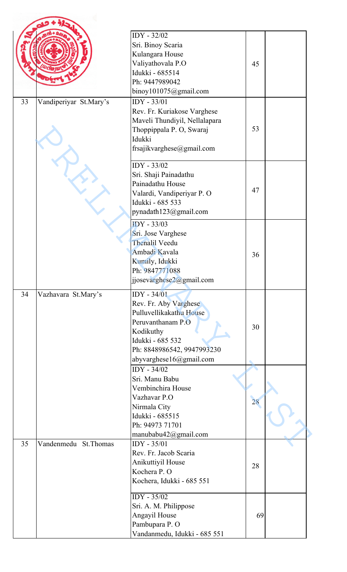|    |                        | IDY - 32/02                   |    |  |
|----|------------------------|-------------------------------|----|--|
|    |                        | Sri. Binoy Scaria             |    |  |
|    |                        | Kulangara House               |    |  |
|    |                        | Valiyathovala P.O             | 45 |  |
|    |                        | Idukki - 685514               |    |  |
|    |                        | Ph: 9447989042                |    |  |
|    |                        | binoy101075@gmail.com         |    |  |
| 33 | Vandiperiyar St.Mary's | IDY - 33/01                   |    |  |
|    |                        | Rev. Fr. Kuriakose Varghese   |    |  |
|    |                        | Maveli Thundiyil, Nellalapara |    |  |
|    |                        | Thoppippala P. O, Swaraj      | 53 |  |
|    |                        | Idukki                        |    |  |
|    |                        | frsajikvarghese@gmail.com     |    |  |
|    |                        | IDY - 33/02                   |    |  |
|    |                        | Sri. Shaji Painadathu         |    |  |
|    |                        | Painadathu House              |    |  |
|    |                        | Valardi, Vandiperiyar P. O    | 47 |  |
|    |                        | Idukki - 685 533              |    |  |
|    |                        | pynadath123@gmail.com         |    |  |
|    |                        |                               |    |  |
|    |                        | <b>IDY</b> - 33/03            |    |  |
|    |                        | Sri. Jose Varghese            |    |  |
|    |                        | <b>Thenalil Veedu</b>         |    |  |
|    |                        | Ambadi Kavala                 | 36 |  |
|    |                        | Kumily, Idukki                |    |  |
|    |                        | Ph: 9847771088                |    |  |
|    |                        | jjosevarghese2@gmail.com      |    |  |
| 34 | Vazhavara St.Mary's    | $IDY - 34/01$                 |    |  |
|    |                        | Rev. Fr. Aby Varghese         |    |  |
|    |                        | Pulluvellikakathu House       |    |  |
|    |                        | Peruvanthanam P.O             | 30 |  |
|    |                        | Kodikuthy                     |    |  |
|    |                        | Idukki - 685 532              |    |  |
|    |                        | Ph: 8848986542, 9947993230    |    |  |
|    |                        | abyvarghese16@gmail.com       |    |  |
|    |                        | IDY - 34/02                   |    |  |
|    |                        | Sri. Manu Babu                |    |  |
|    |                        | Vembinchira House             |    |  |
|    |                        | Vazhavar P.O                  | 28 |  |
|    |                        | Nirmala City                  |    |  |
|    |                        | Idukki - 685515               |    |  |
|    |                        | Ph: 94973 71701               |    |  |
|    |                        | manubabu42@gmail.com          |    |  |
| 35 | Vandenmedu St. Thomas  | $IDY - 35/01$                 |    |  |
|    |                        | Rev. Fr. Jacob Scaria         |    |  |
|    |                        | Anikuttiyil House             | 28 |  |
|    |                        | Kochera P. O                  |    |  |
|    |                        | Kochera, Idukki - 685 551     |    |  |
|    |                        | $IDY - 35/02$                 |    |  |
|    |                        | Sri. A. M. Philippose         |    |  |
|    |                        | Angayil House                 | 69 |  |
|    |                        | Pambupara P.O                 |    |  |
|    |                        | Vandanmedu, Idukki - 685 551  |    |  |